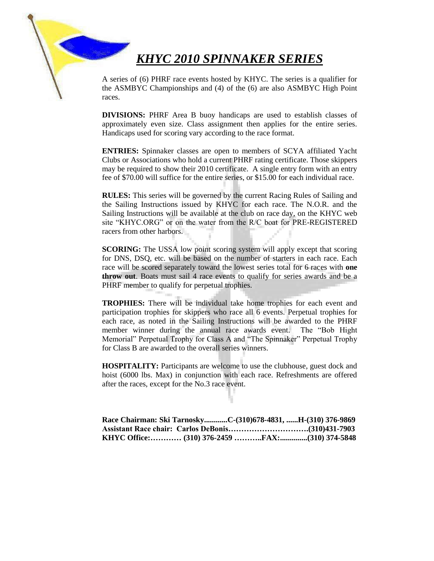# *KHYC 2010 SPINNAKER SERIES*

A series of (6) PHRF race events hosted by KHYC. The series is a qualifier for the ASMBYC Championships and (4) of the (6) are also ASMBYC High Point races.

**DIVISIONS:** PHRF Area B buoy handicaps are used to establish classes of approximately even size. Class assignment then applies for the entire series. Handicaps used for scoring vary according to the race format.

**ENTRIES:** Spinnaker classes are open to members of SCYA affiliated Yacht Clubs or Associations who hold a current PHRF rating certificate. Those skippers may be required to show their 2010 certificate. A single entry form with an entry fee of \$70.00 will suffice for the entire series, or \$15.00 for each individual race.

**RULES:** This series will be governed by the current Racing Rules of Sailing and the Sailing Instructions issued by KHYC for each race. The N.O.R. and the Sailing Instructions will be available at the club on race day, on the KHYC web site "KHYC.ORG" or on the water from the R/C boat for PRE-REGISTERED racers from other harbors.

**SCORING:** The USSA low point scoring system will apply except that scoring for DNS, DSQ, etc. will be based on the number of starters in each race. Each race will be scored separately toward the lowest series total for 6 races with **one throw out**. Boats must sail 4 race events to qualify for series awards and be a PHRF member to qualify for perpetual trophies.

**TROPHIES:** There will be individual take home trophies for each event and participation trophies for skippers who race all 6 events. Perpetual trophies for each race, as noted in the Sailing Instructions will be awarded to the PHRF member winner during the annual race awards event. The "Bob Hight Memorial" Perpetual Trophy for Class A and "The Spinnaker" Perpetual Trophy for Class B are awarded to the overall series winners.

**HOSPITALITY:** Participants are welcome to use the clubhouse, guest dock and hoist (6000 lbs. Max) in conjunction with each race. Refreshments are offered after the races, except for the No.3 race event.

| Race Chairman: Ski TarnoskyC-(310)678-4831, H-(310) 376-9869 |  |  |
|--------------------------------------------------------------|--|--|
|                                                              |  |  |
|                                                              |  |  |